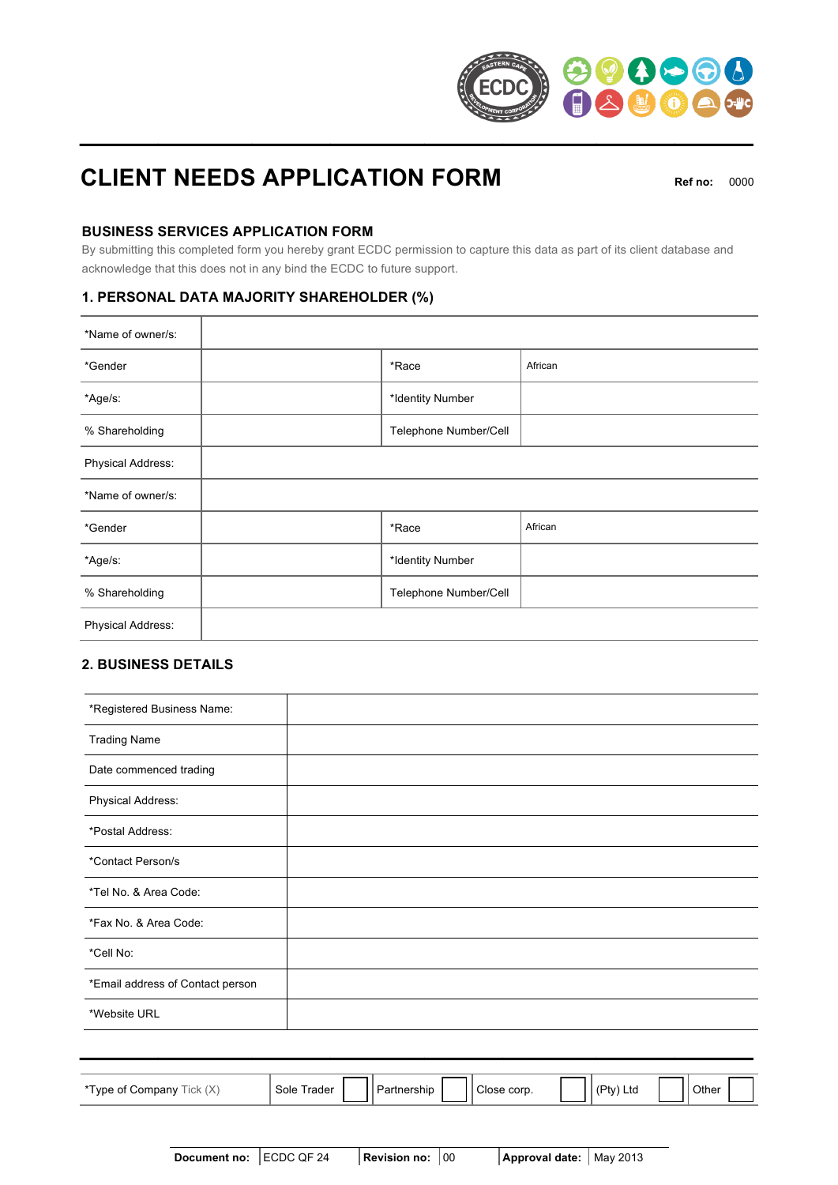

# **CLIENT NEEDS APPLICATION FORM** Ref no: 0000

# **BUSINESS SERVICES APPLICATION FORM**

By submitting this completed form you hereby grant ECDC permission to capture this data as part of its client database and acknowledge that this does not in any bind the ECDC to future support.

# **1. PERSONAL DATA MAJORITY SHAREHOLDER (%)**

| *Name of owner/s: |                       |         |
|-------------------|-----------------------|---------|
| *Gender           | *Race                 | African |
| *Age/s:           | *Identity Number      |         |
| % Shareholding    | Telephone Number/Cell |         |
| Physical Address: |                       |         |
| *Name of owner/s: |                       |         |
| *Gender           | *Race                 | African |
| *Age/s:           | *Identity Number      |         |
| % Shareholding    | Telephone Number/Cell |         |
| Physical Address: |                       |         |

# **2. BUSINESS DETAILS**

| *Registered Business Name:       |  |
|----------------------------------|--|
| <b>Trading Name</b>              |  |
| Date commenced trading           |  |
| Physical Address:                |  |
| *Postal Address:                 |  |
| *Contact Person/s                |  |
| *Tel No. & Area Code:            |  |
| *Fax No. & Area Code:            |  |
| *Cell No:                        |  |
| *Email address of Contact person |  |
| *Website URL                     |  |
|                                  |  |

| $\sim$<br>*Type<br>$\sim$<br>∵ompanvٽ<br>е от<br>$\sqrt{ }$<br>1UN | Sole<br>⊺rader | Partnership |  | -<br>$\circ$ corp.<br>Close |  | $\overline{\phantom{a}}$<br>- دت<br>LtC<br>M<br>-- |  | Other<br>. . |  |
|--------------------------------------------------------------------|----------------|-------------|--|-----------------------------|--|----------------------------------------------------|--|--------------|--|
|--------------------------------------------------------------------|----------------|-------------|--|-----------------------------|--|----------------------------------------------------|--|--------------|--|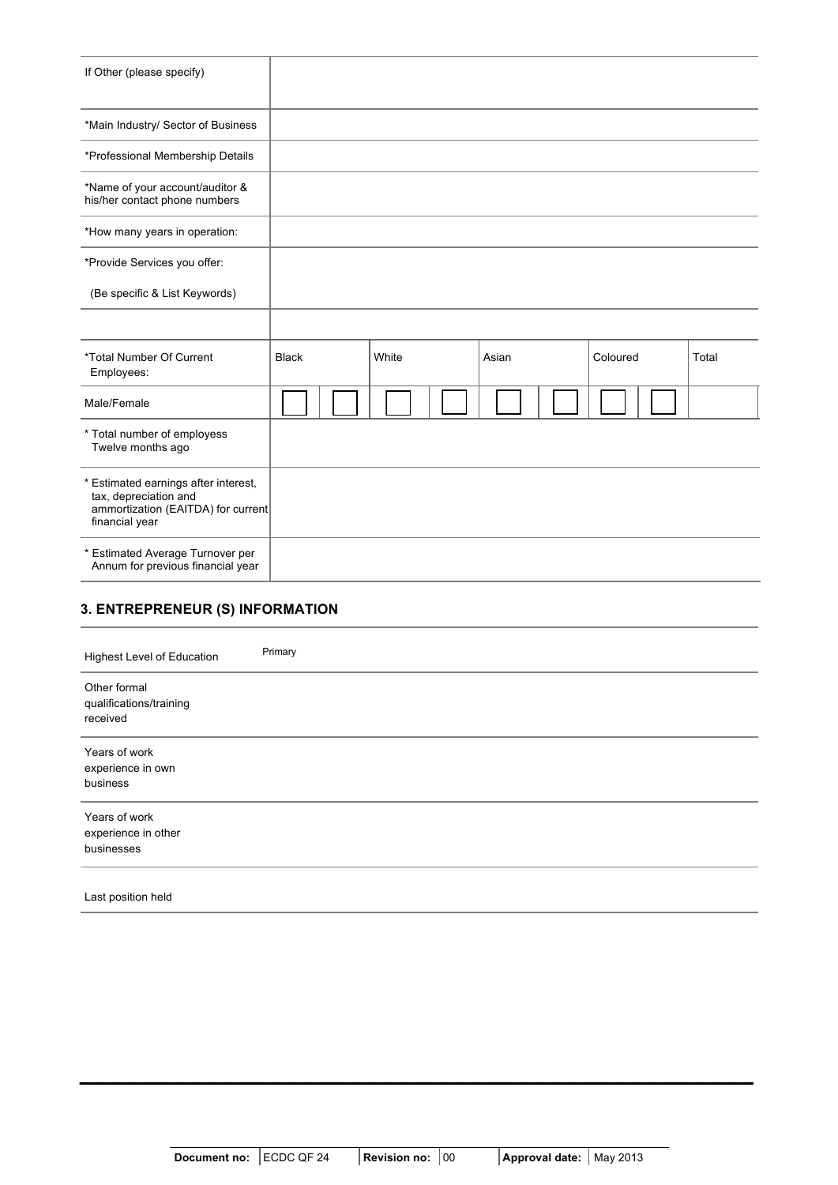| <b>Black</b>                       | White | Asian | Coloured | Total |
|------------------------------------|-------|-------|----------|-------|
|                                    |       |       |          |       |
|                                    |       |       |          |       |
| ammortization (EAITDA) for current |       |       |          |       |
|                                    |       |       |          |       |
|                                    |       |       |          |       |

# **3. ENTREPRENEUR (S) INFORMATION**

| Highest Level of Education                          | Primary |
|-----------------------------------------------------|---------|
| Other formal<br>qualifications/training<br>received |         |
| Years of work<br>experience in own<br>business      |         |
| Years of work<br>experience in other<br>businesses  |         |
| Last position held                                  |         |

**\_\_\_\_\_\_\_\_\_\_\_\_\_\_\_\_\_\_\_\_\_\_\_\_\_\_\_\_\_\_\_\_\_\_\_\_\_\_\_\_\_\_\_**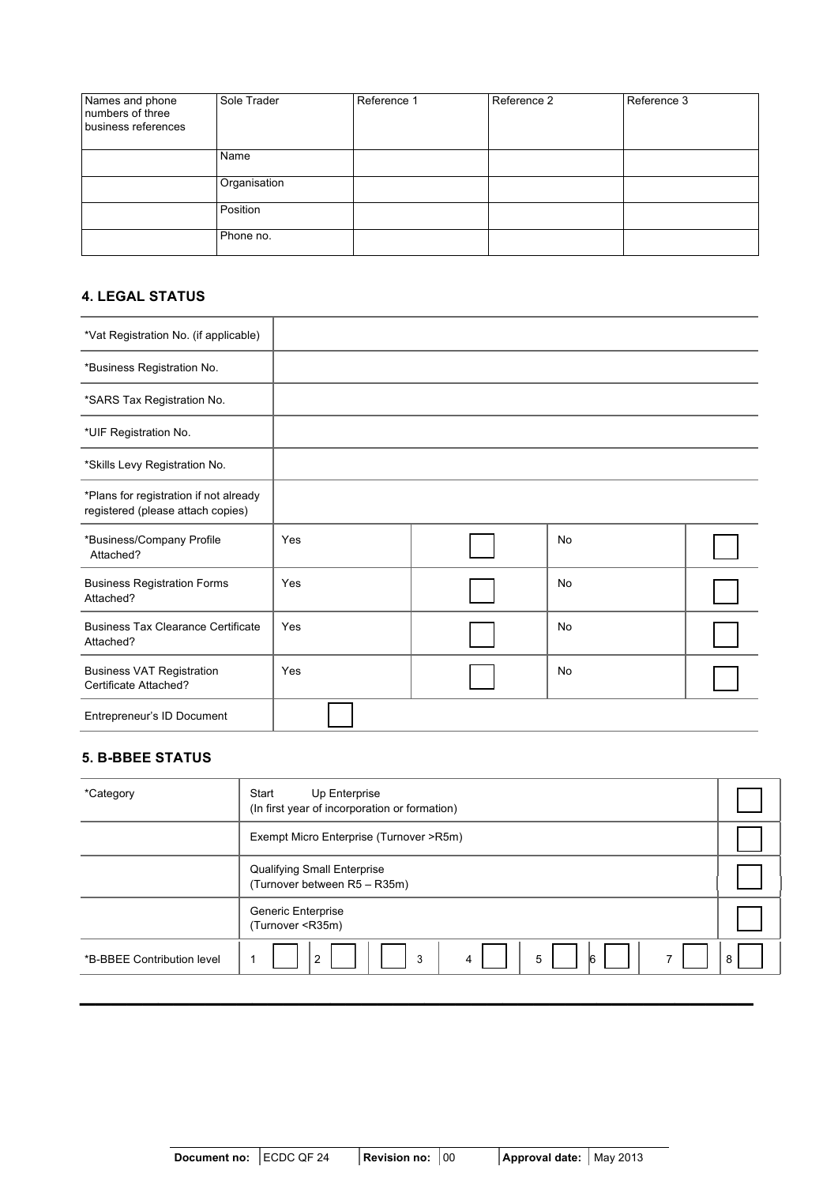| Names and phone<br>numbers of three<br>business references | Sole Trader  | Reference 1 | Reference 2 | Reference 3 |
|------------------------------------------------------------|--------------|-------------|-------------|-------------|
|                                                            | Name         |             |             |             |
|                                                            | Organisation |             |             |             |
|                                                            | Position     |             |             |             |
|                                                            | Phone no.    |             |             |             |

### **4. LEGAL STATUS**

| *Vat Registration No. (if applicable)                                       |     |           |  |
|-----------------------------------------------------------------------------|-----|-----------|--|
| *Business Registration No.                                                  |     |           |  |
| *SARS Tax Registration No.                                                  |     |           |  |
| *UIF Registration No.                                                       |     |           |  |
| *Skills Levy Registration No.                                               |     |           |  |
| *Plans for registration if not already<br>registered (please attach copies) |     |           |  |
| *Business/Company Profile<br>Attached?                                      | Yes | <b>No</b> |  |
| <b>Business Registration Forms</b><br>Attached?                             | Yes | <b>No</b> |  |
| <b>Business Tax Clearance Certificate</b><br>Attached?                      | Yes | <b>No</b> |  |
| <b>Business VAT Registration</b><br>Certificate Attached?                   | Yes | No        |  |
| Entrepreneur's ID Document                                                  |     |           |  |

# **5. B-BBEE STATUS**

| *Category                  | Up Enterprise<br>Start<br>(In first year of incorporation or formation) |   |
|----------------------------|-------------------------------------------------------------------------|---|
|                            | Exempt Micro Enterprise (Turnover >R5m)                                 |   |
|                            | Qualifying Small Enterprise<br>(Turnover between R5 - R35m)             |   |
|                            | <b>Generic Enterprise</b><br>(Turnover <r35m)< td=""><td></td></r35m)<> |   |
| *B-BBEE Contribution level | 5<br>16<br>$\overline{2}$<br>3<br>4<br>$\overline{\phantom{a}}$<br>٠    | 8 |
|                            |                                                                         |   |